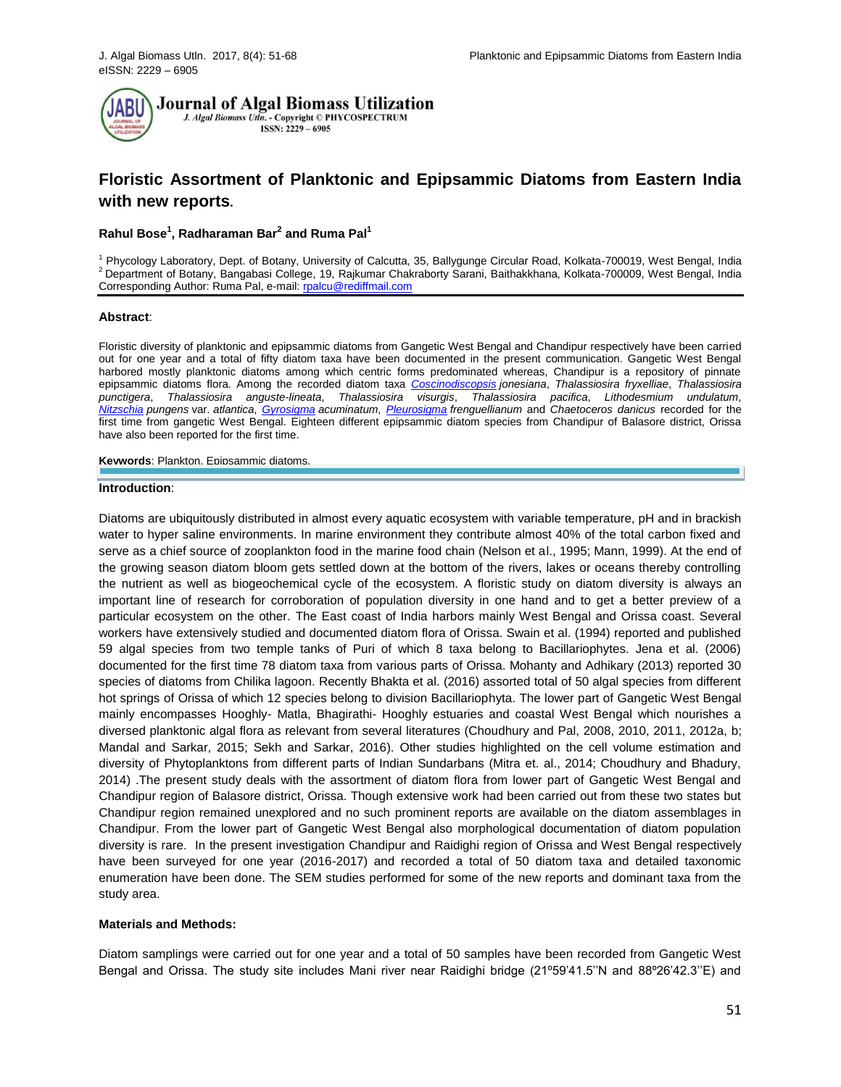

# **Floristic Assortment of Planktonic and Epipsammic Diatoms from Eastern India with new reports.**

## **Rahul Bose<sup>1</sup> , Radharaman Bar<sup>2</sup> and Ruma Pal<sup>1</sup>**

<sup>1</sup> Phycology Laboratory, Dept. of Botany, University of Calcutta, 35, Ballygunge Circular Road, Kolkata-700019, West Bengal, India <sup>2</sup>Department of Botany, Bangabasi College, 19, Rajkumar Chakraborty Sarani, Baithakkhana, Kolkata-700009, West Bengal, India Corresponding Author: Ruma Pal, e-mail[: rpalcu@rediffmail.com](mailto:rpalcu@rediffmail.com)

#### **Abstract**:

Floristic diversity of planktonic and epipsammic diatoms from Gangetic West Bengal and Chandipur respectively have been carried out for one year and a total of fifty diatom taxa have been documented in the present communication. Gangetic West Bengal harbored mostly planktonic diatoms among which centric forms predominated whereas, Chandipur is a repository of pinnate epipsammic diatoms flora. Among the recorded diatom taxa *[Coscinodiscopsis](http://www.algaebase.org/search/?genus=Coscinodiscopsis) jonesiana*, *Thalassiosira fryxelliae*, *Thalassiosira punctigera*, *Thalassiosira anguste-lineata*, *Thalassiosira visurgis*, *Thalassiosira pacifica*, *Lithodesmium undulatum*, *[Nitzschia](http://www.algaebase.org/search/?genus=Nitzschia) pungens* var. *atlantica*, *[Gyrosigma](http://www.algaebase.org/search/?genus=Gyrosigma) acuminatum*, *[Pleurosigma](http://www.algaebase.org/search/?genus=Pleurosigma) frenguellianum* and *Chaetoceros danicus* recorded for the first time from gangetic West Bengal. Eighteen different epipsammic diatom species from Chandipur of Balasore district, Orissa have also been reported for the first time.

**Keywords**: Plankton, Epipsammic diatoms,

#### **Introduction**:

Diatoms are ubiquitously distributed in almost every aquatic ecosystem with variable temperature, pH and in brackish water to hyper saline environments. In marine environment they contribute almost 40% of the total carbon fixed and serve as a chief source of zooplankton food in the marine food chain (Nelson et al., 1995; Mann, 1999). At the end of the growing season diatom bloom gets settled down at the bottom of the rivers, lakes or oceans thereby controlling the nutrient as well as biogeochemical cycle of the ecosystem. A floristic study on diatom diversity is always an important line of research for corroboration of population diversity in one hand and to get a better preview of a particular ecosystem on the other. The East coast of India harbors mainly West Bengal and Orissa coast. Several workers have extensively studied and documented diatom flora of Orissa. Swain et al. (1994) reported and published 59 algal species from two temple tanks of Puri of which 8 taxa belong to Bacillariophytes. Jena et al. (2006) documented for the first time 78 diatom taxa from various parts of Orissa. Mohanty and Adhikary (2013) reported 30 species of diatoms from Chilika lagoon. Recently Bhakta et al. (2016) assorted total of 50 algal species from different hot springs of Orissa of which 12 species belong to division Bacillariophyta. The lower part of Gangetic West Bengal mainly encompasses Hooghly- Matla, Bhagirathi- Hooghly estuaries and coastal West Bengal which nourishes a diversed planktonic algal flora as relevant from several literatures (Choudhury and Pal, 2008, 2010, 2011, 2012a, b; Mandal and Sarkar, 2015; Sekh and Sarkar, 2016). Other studies highlighted on the cell volume estimation and diversity of Phytoplanktons from different parts of Indian Sundarbans (Mitra et. al., 2014; Choudhury and Bhadury, 2014) .The present study deals with the assortment of diatom flora from lower part of Gangetic West Bengal and Chandipur region of Balasore district, Orissa. Though extensive work had been carried out from these two states but Chandipur region remained unexplored and no such prominent reports are available on the diatom assemblages in Chandipur. From the lower part of Gangetic West Bengal also morphological documentation of diatom population diversity is rare. In the present investigation Chandipur and Raidighi region of Orissa and West Bengal respectively have been surveyed for one year (2016-2017) and recorded a total of 50 diatom taxa and detailed taxonomic enumeration have been done. The SEM studies performed for some of the new reports and dominant taxa from the study area.

### **Materials and Methods:**

Diatom samplings were carried out for one year and a total of 50 samples have been recorded from Gangetic West Bengal and Orissa. The study site includes Mani river near Raidighi bridge (21º59'41.5''N and 88º26'42.3''E) and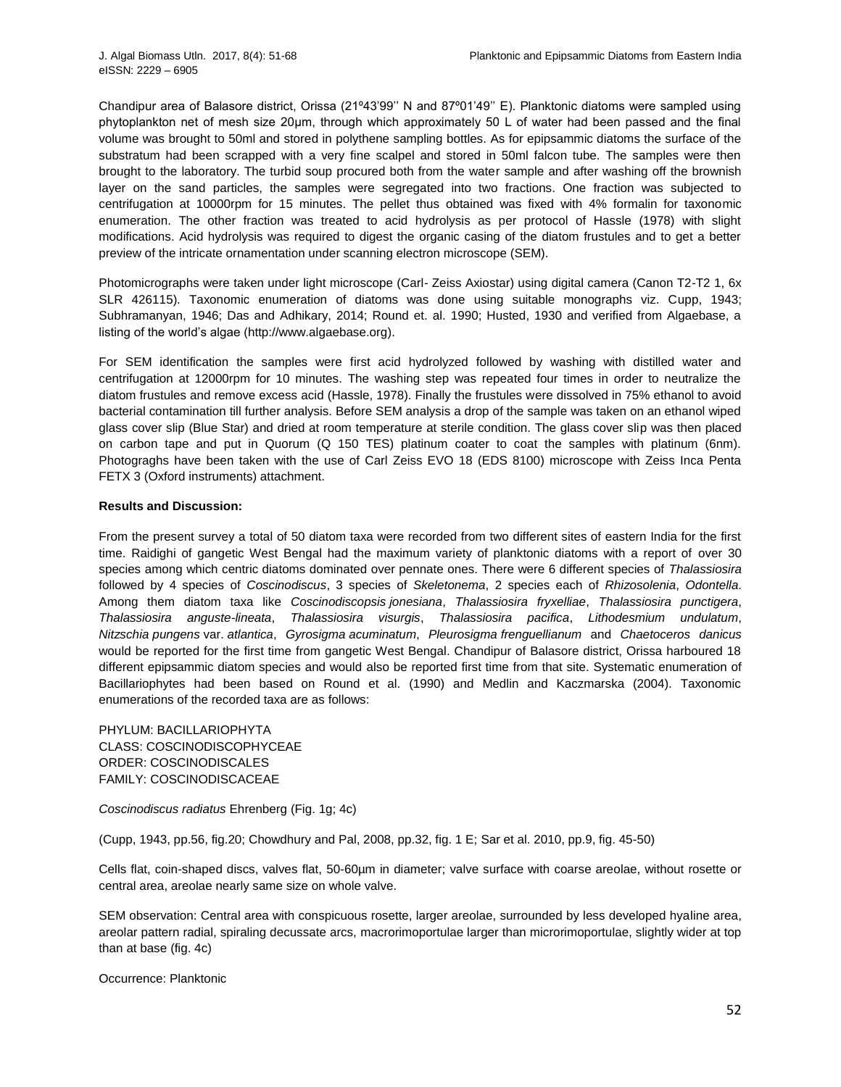Chandipur area of Balasore district, Orissa (21º43'99'' N and 87º01'49'' E). Planktonic diatoms were sampled using phytoplankton net of mesh size 20μm, through which approximately 50 L of water had been passed and the final volume was brought to 50ml and stored in polythene sampling bottles. As for epipsammic diatoms the surface of the substratum had been scrapped with a very fine scalpel and stored in 50ml falcon tube. The samples were then brought to the laboratory. The turbid soup procured both from the water sample and after washing off the brownish layer on the sand particles, the samples were segregated into two fractions. One fraction was subjected to centrifugation at 10000rpm for 15 minutes. The pellet thus obtained was fixed with 4% formalin for taxonomic enumeration. The other fraction was treated to acid hydrolysis as per protocol of Hassle (1978) with slight modifications. Acid hydrolysis was required to digest the organic casing of the diatom frustules and to get a better preview of the intricate ornamentation under scanning electron microscope (SEM).

Photomicrographs were taken under light microscope (Carl- Zeiss Axiostar) using digital camera (Canon T2-T2 1, 6x SLR 426115). Taxonomic enumeration of diatoms was done using suitable monographs viz. Cupp, 1943; Subhramanyan, 1946; Das and Adhikary, 2014; Round et. al. 1990; Husted, 1930 and verified from Algaebase, a listing of the world's algae [\(http://www.algaebase.org\)](http://www.algaebase.org/).

For SEM identification the samples were first acid hydrolyzed followed by washing with distilled water and centrifugation at 12000rpm for 10 minutes. The washing step was repeated four times in order to neutralize the diatom frustules and remove excess acid (Hassle, 1978). Finally the frustules were dissolved in 75% ethanol to avoid bacterial contamination till further analysis. Before SEM analysis a drop of the sample was taken on an ethanol wiped glass cover slip (Blue Star) and dried at room temperature at sterile condition. The glass cover slip was then placed on carbon tape and put in Quorum (Q 150 TES) platinum coater to coat the samples with platinum (6nm). Photograghs have been taken with the use of Carl Zeiss EVO 18 (EDS 8100) microscope with Zeiss Inca Penta FETX 3 (Oxford instruments) attachment.

## **Results and Discussion:**

From the present survey a total of 50 diatom taxa were recorded from two different sites of eastern India for the first time. Raidighi of gangetic West Bengal had the maximum variety of planktonic diatoms with a report of over 30 species among which centric diatoms dominated over pennate ones. There were 6 different species of *Thalassiosira* followed by 4 species of *Coscinodiscus*, 3 species of *Skeletonema*, 2 species each of *Rhizosolenia*, *Odontella*. Among them diatom taxa like *[Coscinodiscopsis](http://www.algaebase.org/search/?genus=Coscinodiscopsis) jonesiana*, *Thalassiosira fryxelliae*, *Thalassiosira punctigera*, *Thalassiosira anguste-lineata*, *Thalassiosira visurgis*, *Thalassiosira pacifica*, *Lithodesmium undulatum*, *[Nitzschia](http://www.algaebase.org/search/?genus=Nitzschia) pungens* var. *atlantica*, *[Gyrosigma](http://www.algaebase.org/search/?genus=Gyrosigma) acuminatum*, *[Pleurosigma](http://www.algaebase.org/search/?genus=Pleurosigma) frenguellianum* and *Chaetoceros danicus* would be reported for the first time from gangetic West Bengal. Chandipur of Balasore district, Orissa harboured 18 different epipsammic diatom species and would also be reported first time from that site. Systematic enumeration of Bacillariophytes had been based on Round et al. (1990) and Medlin and Kaczmarska (2004). Taxonomic enumerations of the recorded taxa are as follows:

PHYLUM: [BACILLARIOPHYTA](http://www.algaebase.org/browse/taxonomy/?id=139141) CLASS: [COSCINODISCOPHYCEAE](http://www.algaebase.org/browse/taxonomy/?id=120727) ORDER: [COSCINODISCALES](http://www.algaebase.org/browse/taxonomy/?id=77851) FAMILY: [COSCINODISCACEAE](http://www.algaebase.org/browse/taxonomy/?id=77924)

*[Coscinodiscus](http://www.algaebase.org/search/?genus=Coscinodiscus) radiatus* Ehrenberg (Fig. 1g; 4c)

(Cupp, 1943, pp.56, fig.20; Chowdhury and Pal, 2008, pp.32, fig. 1 E; Sar et al. 2010, pp.9, fig. 45-50)

Cells flat, coin-shaped discs, valves flat, 50-60µm in diameter; valve surface with coarse areolae, without rosette or central area, areolae nearly same size on whole valve.

SEM observation: Central area with conspicuous rosette, larger areolae, surrounded by less developed hyaline area, areolar pattern radial, spiraling decussate arcs, macrorimoportulae larger than microrimoportulae, slightly wider at top than at base (fig. 4c)

Occurrence: Planktonic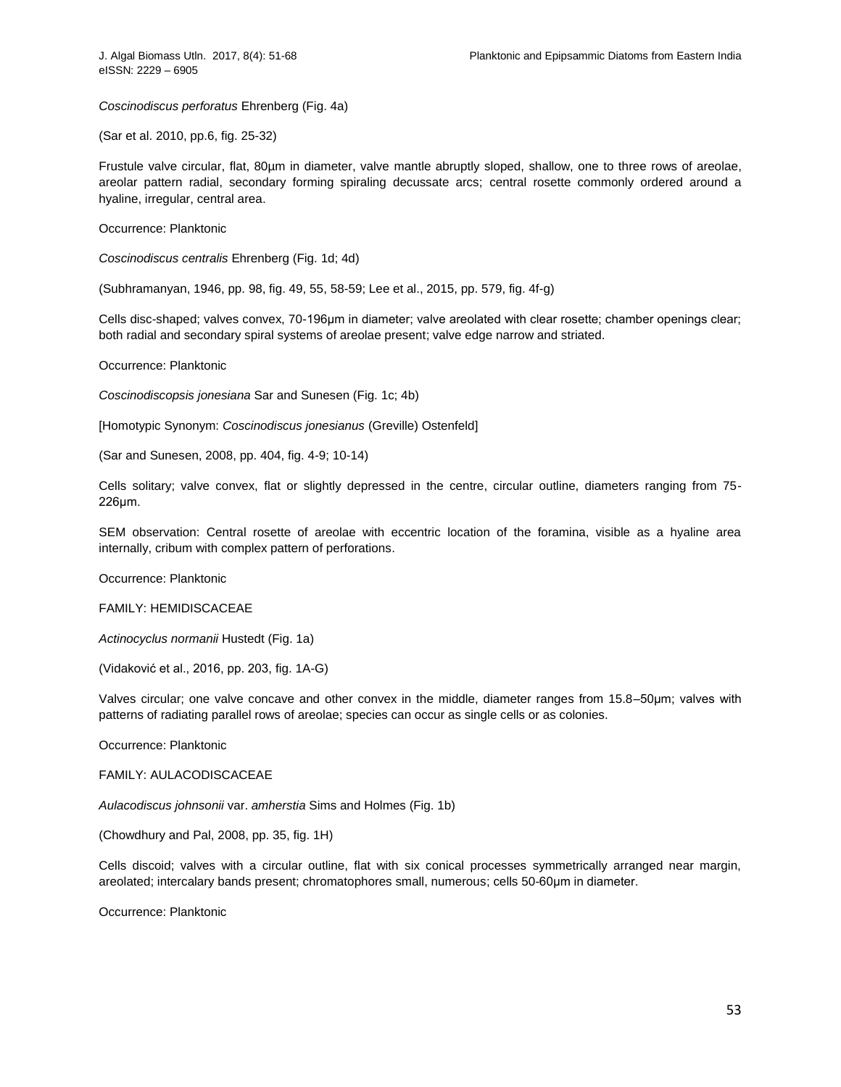*[Coscinodiscus](http://www.algaebase.org/search/?genus=Coscinodiscus) perforatus* Ehrenberg (Fig. 4a)

(Sar et al. 2010, pp.6, fig. 25-32)

Frustule valve circular, flat, 80µm in diameter, valve mantle abruptly sloped, shallow, one to three rows of areolae, areolar pattern radial, secondary forming spiraling decussate arcs; central rosette commonly ordered around a hyaline, irregular, central area.

Occurrence: Planktonic

*[Coscinodiscus](http://www.algaebase.org/search/?genus=Coscinodiscus) centralis* Ehrenberg (Fig. 1d; 4d)

(Subhramanyan, 1946, pp. 98, fig. 49, 55, 58-59; Lee et al., 2015, pp. 579, fig. 4f-g)

Cells disc-shaped; valves convex, 70-196μm in diameter; valve areolated with clear rosette; chamber openings clear; both radial and secondary spiral systems of areolae present; valve edge narrow and striated.

Occurrence: Planktonic

*[Coscinodiscopsis](http://www.algaebase.org/search/?genus=Coscinodiscopsis) jonesiana* Sar and Sunesen (Fig. 1c; 4b)

[Homotypic Synonym: *[Coscinodiscus jonesianus](http://www.algaebase.org/search/species/detail/?species_id=Jd2ccbaecafa60fe4)* (Greville) Ostenfeld]

(Sar and Sunesen, 2008, pp. 404, fig. 4-9; 10-14)

Cells solitary; valve convex, flat or slightly depressed in the centre, circular outline, diameters ranging from 75- 226μm.

SEM observation: Central rosette of areolae with eccentric location of the foramina, visible as a hyaline area internally, cribum with complex pattern of perforations.

Occurrence: Planktonic

FAMILY: [HEMIDISCACEAE](http://www.algaebase.org/browse/taxonomy/?id=77911)

*[Actinocyclus](http://www.algaebase.org/search/?genus=Actinocyclus) normanii* Hustedt (Fig. 1a)

(Vidaković et al., 2016, pp. 203, fig. 1A-G)

Valves circular; one valve concave and other convex in the middle, diameter ranges from 15.8–50μm; valves with patterns of radiating parallel rows of areolae; species can occur as single cells or as colonies.

Occurrence: Planktonic

FAMILY: [AULACODISCACEAE](http://www.algaebase.org/browse/taxonomy/?id=77934)

*[Aulacodiscus](http://www.algaebase.org/search/?genus=Aulacodiscus) johnsonii* var. *amherstia* Sims and Holmes (Fig. 1b)

(Chowdhury and Pal, 2008, pp. 35, fig. 1H)

Cells discoid; valves with a circular outline, flat with six conical processes symmetrically arranged near margin, areolated; intercalary bands present; chromatophores small, numerous; cells 50-60μm in diameter.

Occurrence: Planktonic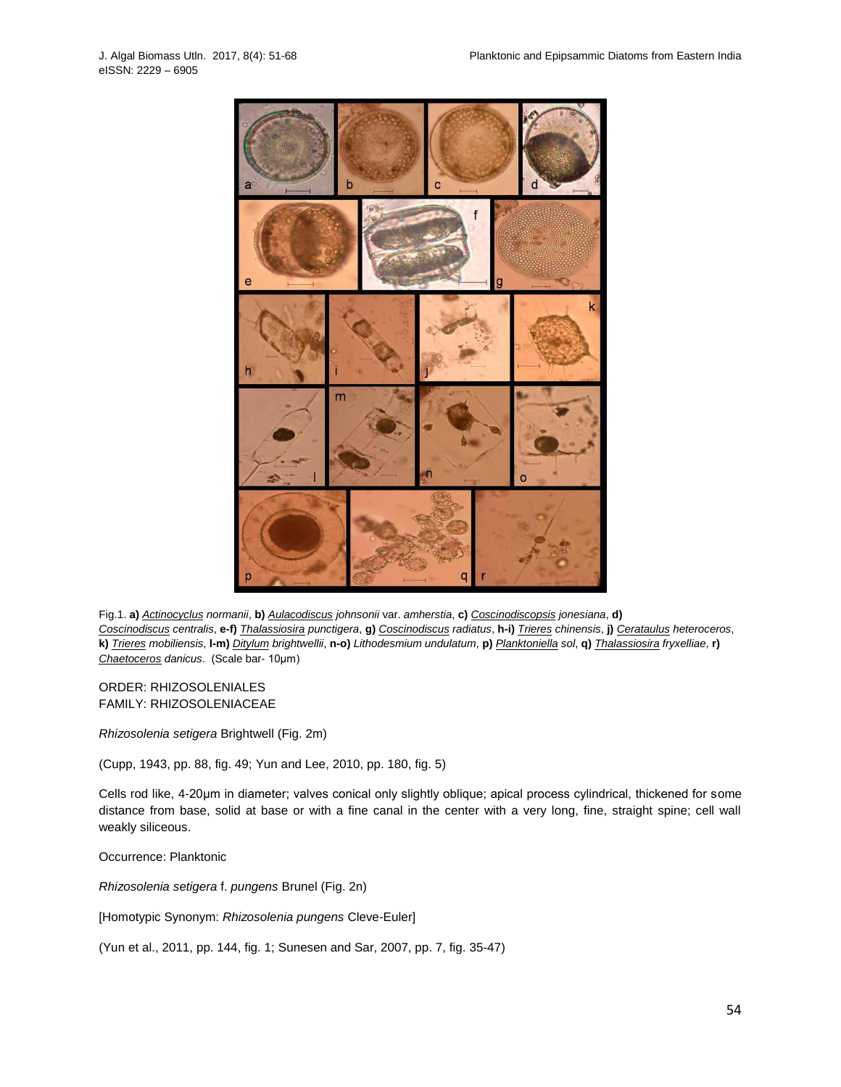

Fig.1. **a)** *[Actinocyclus](http://www.algaebase.org/search/?genus=Actinocyclus) normanii*, **b)** *[Aulacodiscus](http://www.algaebase.org/search/?genus=Aulacodiscus) johnsonii* var. *amherstia*, **c)** *[Coscinodiscopsis](http://www.algaebase.org/search/?genus=Coscinodiscopsis) jonesiana*, **d)** [Coscinodiscus](http://www.algaebase.org/search/?genus=Coscinodiscus) centralis, e-f) [Thalassiosira](http://www.algaebase.org/search/?genus=Thalassiosira) punctigera, g) Coscinodiscus radiatus, h-i) [Trieres](http://www.algaebase.org/search/?genus=Trieres) chinensis, j) [Cerataulus](http://www.algaebase.org/search/?genus=Cerataulus) heteroceros, k) [Trieres](http://www.algaebase.org/search/?genus=Trieres) mobiliensis, I-m) [Ditylum](http://www.algaebase.org/search/?genus=Ditylum) brightwellii, n-o) Lithodesmium undulatum, p) [Planktoniella](http://www.algaebase.org/search/?genus=Planktoniella) sol, q) [Thalassiosira](http://www.algaebase.org/search/?genus=Thalassiosira) fryxelliae, r) *[Chaetoceros](http://www.algaebase.org/search/?genus=Chaetoceros) danicus*. (Scale bar- 10μm)

ORDER: [RHIZOSOLENIALES](http://www.algaebase.org/browse/taxonomy/?id=77854) FAMILY: [RHIZOSOLENIACEAE](http://www.algaebase.org/browse/taxonomy/?id=77893)

*[Rhizosolenia](http://www.algaebase.org/search/?genus=Rhizosolenia) setigera* Brightwell (Fig. 2m)

(Cupp, 1943, pp. 88, fig. 49; Yun and Lee, 2010, pp. 180, fig. 5)

Cells rod like, 4-20μm in diameter; valves conical only slightly oblique; apical process cylindrical, thickened for some distance from base, solid at base or with a fine canal in the center with a very long, fine, straight spine; cell wall weakly siliceous.

Occurrence: Planktonic

*[Rhizosolenia](http://www.algaebase.org/search/?genus=Rhizosolenia) setigera* f. *pungens* Brunel (Fig. 2n)

[Homotypic Synonym: *[Rhizosolenia pungens](http://www.algaebase.org/search/species/detail/?species_id=m3f140724bebf596a)* Cleve-Euler]

(Yun et al., 2011, pp. 144, fig. 1; Sunesen and Sar, 2007, pp. 7, fig. 35-47)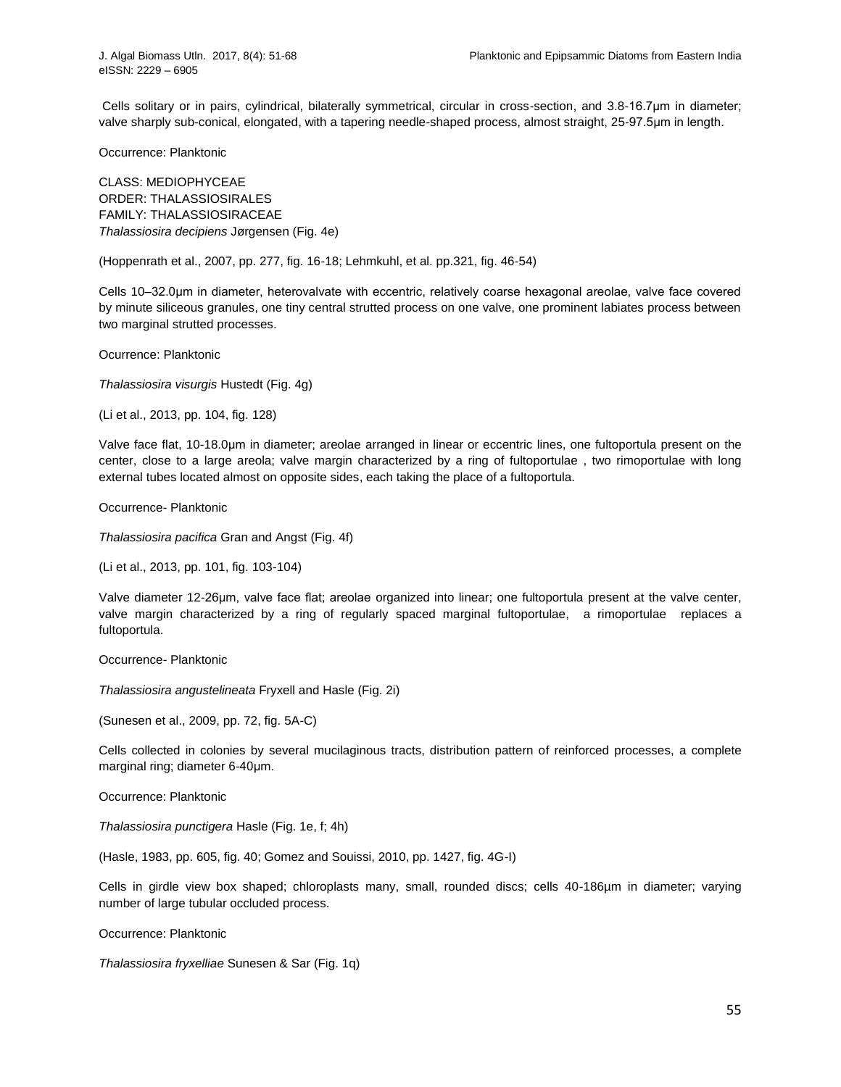Cells solitary or in pairs, cylindrical, bilaterally symmetrical, circular in cross-section, and 3.8-16.7μm in diameter; valve sharply sub-conical, elongated, with a tapering needle-shaped process, almost straight, 25-97.5μm in length.

Occurrence: Planktonic

CLASS: [MEDIOPHYCEAE](http://www.algaebase.org/browse/taxonomy/?id=139117) ORDER: [THALASSIOSIRALES](http://www.algaebase.org/browse/taxonomy/?id=4465) FAMILY: [THALASSIOSIRACEAE](http://www.algaebase.org/browse/taxonomy/?id=77608) *[Thalassiosira](http://www.algaebase.org/search/?genus=Thalassiosira) decipiens* Jørgensen (Fig. 4e)

(Hoppenrath et al., 2007, pp. 277, fig. 16-18; Lehmkuhl, et al. pp.321, fig. 46-54)

Cells 10–32.0μm in diameter, heterovalvate with eccentric, relatively coarse hexagonal areolae, valve face covered by minute siliceous granules, one tiny central strutted process on one valve, one prominent labiates process between two marginal strutted processes.

Ocurrence: Planktonic

*[Thalassiosira](http://www.algaebase.org/search/?genus=Thalassiosira) visurgis* Hustedt (Fig. 4g)

(Li et al., 2013, pp. 104, fig. 128)

Valve face flat, 10-18.0μm in diameter; areolae arranged in linear or eccentric lines, one fultoportula present on the center, close to a large areola; valve margin characterized by a ring of fultoportulae , two rimoportulae with long external tubes located almost on opposite sides, each taking the place of a fultoportula.

Occurrence- Planktonic

*[Thalassiosira](http://www.algaebase.org/search/?genus=Thalassiosira) pacifica* Gran and Angst (Fig. 4f)

(Li et al., 2013, pp. 101, fig. 103-104)

Valve diameter 12-26μm, valve face flat; areolae organized into linear; one fultoportula present at the valve center, valve margin characterized by a ring of regularly spaced marginal fultoportulae, a rimoportulae replaces a fultoportula.

Occurrence- Planktonic

*[Thalassiosira](http://www.algaebase.org/search/?genus=Thalassiosira) angustelineata* Fryxell and Hasle (Fig. 2i)

(Sunesen et al., 2009, pp. 72, fig. 5A-C)

Cells collected in colonies by several mucilaginous tracts, distribution pattern of reinforced processes, a complete marginal ring; diameter 6-40μm.

Occurrence: Planktonic

*[Thalassiosira](http://www.algaebase.org/search/?genus=Thalassiosira) punctigera* Hasle (Fig. 1e, f; 4h)

(Hasle, 1983, pp. 605, fig. 40; Gomez and Souissi, 2010, pp. 1427, fig. 4G-I)

Cells in girdle view box shaped; chloroplasts many, small, rounded discs; cells 40-186µm in diameter; varying number of large tubular occluded process.

Occurrence: Planktonic

*[Thalassiosira](http://www.algaebase.org/search/?genus=Thalassiosira) fryxelliae* Sunesen & Sar (Fig. 1q)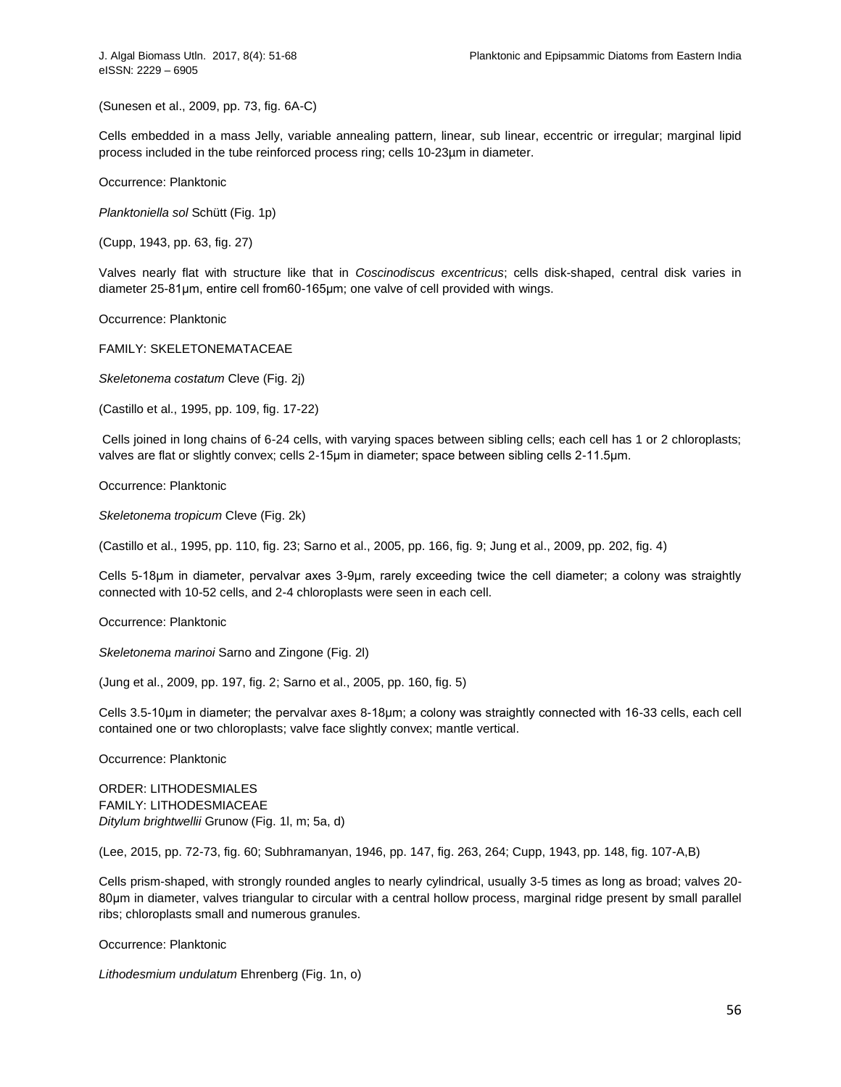(Sunesen et al., 2009, pp. 73, fig. 6A-C)

Cells embedded in a mass Jelly, variable annealing pattern, linear, sub linear, eccentric or irregular; marginal lipid process included in the tube reinforced process ring; cells 10-23µm in diameter.

Occurrence: Planktonic

*[Planktoniella](http://www.algaebase.org/search/?genus=Planktoniella) sol* Schütt (Fig. 1p)

(Cupp, 1943, pp. 63, fig. 27)

Valves nearly flat with structure like that in *Coscinodiscus excentricus*; cells disk-shaped, central disk varies in diameter 25-81μm, entire cell from60-165μm; one valve of cell provided with wings.

Occurrence: Planktonic

FAMILY: [SKELETONEMATACEAE](http://www.algaebase.org/browse/taxonomy/?id=77612)

*[Skeletonema](http://www.algaebase.org/search/?genus=Skeletonema) costatum* Cleve (Fig. 2j)

(Castillo et al., 1995, pp. 109, fig. 17-22)

Cells joined in long chains of 6-24 cells, with varying spaces between sibling cells; each cell has 1 or 2 chloroplasts; valves are flat or slightly convex; cells 2-15μm in diameter; space between sibling cells 2-11.5μm.

Occurrence: Planktonic

*[Skeletonema](http://www.algaebase.org/search/?genus=Skeletonema) tropicum* Cleve (Fig. 2k)

(Castillo et al., 1995, pp. 110, fig. 23; Sarno et al., 2005, pp. 166, fig. 9; Jung et al., 2009, pp. 202, fig. 4)

Cells 5-18μm in diameter, pervalvar axes 3-9μm, rarely exceeding twice the cell diameter; a colony was straightly connected with 10-52 cells, and 2-4 chloroplasts were seen in each cell.

Occurrence: Planktonic

*[Skeletonema](http://www.algaebase.org/search/?genus=Skeletonema) marinoi* Sarno and Zingone (Fig. 2l)

(Jung et al., 2009, pp. 197, fig. 2; Sarno et al., 2005, pp. 160, fig. 5)

Cells 3.5-10μm in diameter; the pervalvar axes 8-18μm; a colony was straightly connected with 16-33 cells, each cell contained one or two chloroplasts; valve face slightly convex; mantle vertical.

Occurrence: Planktonic

ORDER: [LITHODESMIALES](http://www.algaebase.org/browse/taxonomy/?id=77863) FAMILY: [LITHODESMIACEAE](http://www.algaebase.org/browse/taxonomy/?id=77906) *[Ditylum](http://www.algaebase.org/search/?genus=Ditylum) brightwellii* Grunow (Fig. 1l, m; 5a, d)

(Lee, 2015, pp. 72-73, fig. 60; Subhramanyan, 1946, pp. 147, fig. 263, 264; Cupp, 1943, pp. 148, fig. 107-A,B)

Cells prism-shaped, with strongly rounded angles to nearly cylindrical, usually 3-5 times as long as broad; valves 20- 80μm in diameter, valves triangular to circular with a central hollow process, marginal ridge present by small parallel ribs; chloroplasts small and numerous granules.

Occurrence: Planktonic

*Lithodesmium undulatum* Ehrenberg (Fig. 1n, o)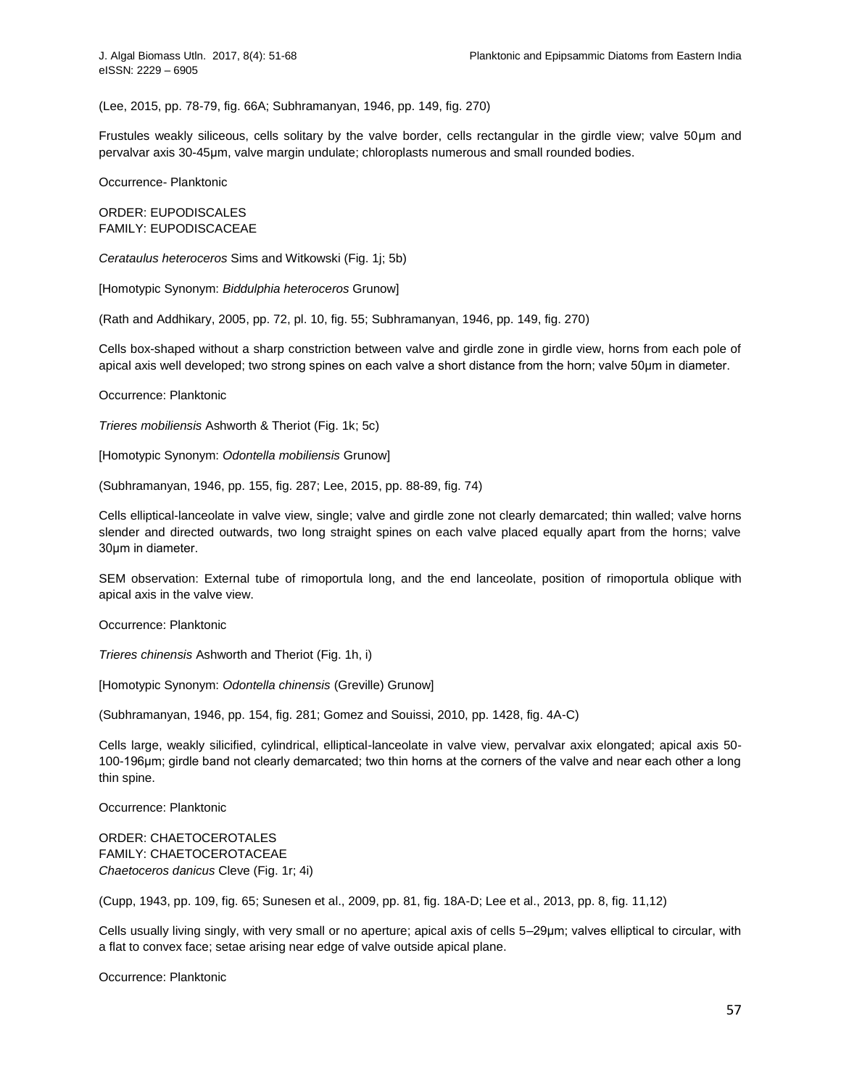(Lee, 2015, pp. 78-79, fig. 66A; Subhramanyan, 1946, pp. 149, fig. 270)

Frustules weakly siliceous, cells solitary by the valve border, cells rectangular in the girdle view; valve 50μm and pervalvar axis 30-45μm, valve margin undulate; chloroplasts numerous and small rounded bodies.

Occurrence- Planktonic

ORDER: [EUPODISCALES](http://www.algaebase.org/browse/taxonomy/?id=109848) FAMILY: [EUPODISCACEAE](http://www.algaebase.org/browse/taxonomy/?id=109849)

*[Cerataulus](http://www.algaebase.org/search/?genus=Cerataulus) heteroceros* Sims and Witkowski (Fig. 1j; 5b)

[Homotypic Synonym: *[Biddulphia heteroceros](http://www.algaebase.org/search/species/detail/?species_id=Sbbcff50ec4af0f80)* Grunow]

(Rath and Addhikary, 2005, pp. 72, pl. 10, fig. 55; Subhramanyan, 1946, pp. 149, fig. 270)

Cells box-shaped without a sharp constriction between valve and girdle zone in girdle view, horns from each pole of apical axis well developed; two strong spines on each valve a short distance from the horn; valve 50μm in diameter.

Occurrence: Planktonic

*[Trieres](http://www.algaebase.org/search/?genus=Trieres) mobiliensis* Ashworth & Theriot (Fig. 1k; 5c)

[Homotypic Synonym: *[Odontella mobiliensis](http://www.algaebase.org/search/species/detail/?species_id=v531576ebc94d009d)* Grunow]

(Subhramanyan, 1946, pp. 155, fig. 287; Lee, 2015, pp. 88-89, fig. 74)

Cells elliptical-lanceolate in valve view, single; valve and girdle zone not clearly demarcated; thin walled; valve horns slender and directed outwards, two long straight spines on each valve placed equally apart from the horns; valve 30μm in diameter.

SEM observation: External tube of rimoportula long, and the end lanceolate, position of rimoportula oblique with apical axis in the valve view.

Occurrence: Planktonic

*[Trieres](http://www.algaebase.org/search/?genus=Trieres) chinensis* Ashworth and Theriot (Fig. 1h, i)

[Homotypic Synonym: *[Odontella chinensis](http://www.algaebase.org/search/species/detail/?species_id=yc03943d1a7d2cab3)* (Greville) Grunow]

(Subhramanyan, 1946, pp. 154, fig. 281; Gomez and Souissi, 2010, pp. 1428, fig. 4A-C)

Cells large, weakly silicified, cylindrical, elliptical-lanceolate in valve view, pervalvar axix elongated; apical axis 50- 100-196μm; girdle band not clearly demarcated; two thin horns at the corners of the valve and near each other a long thin spine.

Occurrence: Planktonic

ORDER: [CHAETOCEROTALES](http://www.algaebase.org/browse/taxonomy/?id=77874) FAMILY: [CHAETOCEROTACEAE](http://www.algaebase.org/browse/taxonomy/?id=77929) *[Chaetoceros](http://www.algaebase.org/search/?genus=Chaetoceros) danicus* Cleve (Fig. 1r; 4i)

(Cupp, 1943, pp. 109, fig. 65; Sunesen et al., 2009, pp. 81, fig. 18A-D; Lee et al., 2013, pp. 8, fig. 11,12)

Cells usually living singly, with very small or no aperture; apical axis of cells 5–29μm; valves elliptical to circular, with a flat to convex face; setae arising near edge of valve outside apical plane.

Occurrence: Planktonic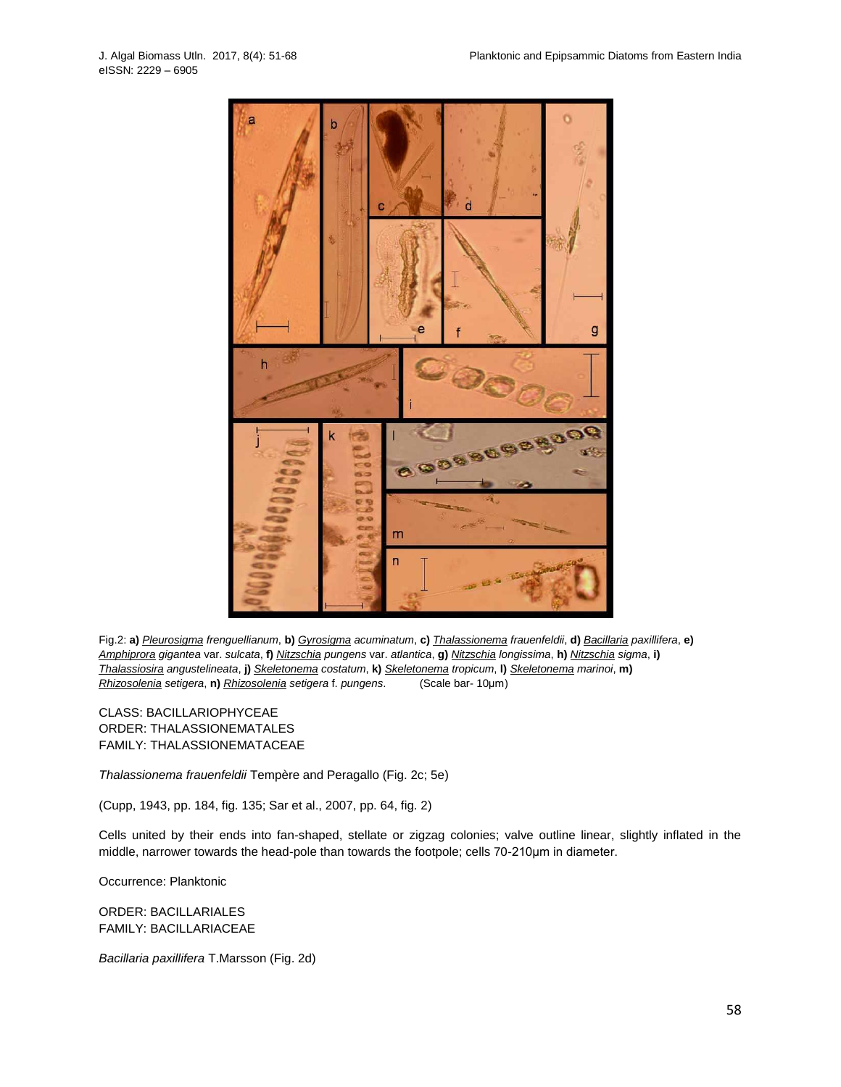

Fig.2: **a)** *[Pleurosigma](http://www.algaebase.org/search/?genus=Pleurosigma) frenguellianum*, **b)** *[Gyrosigma](http://www.algaebase.org/search/?genus=Gyrosigma) acuminatum*, **c)** *[Thalassionema](http://www.algaebase.org/search/?genus=Thalassionema) frauenfeldii*, **d)** *[Bacillaria](http://www.algaebase.org/search/?genus=Bacillaria) paxillifera*, **e)** *[Amphiprora](http://www.algaebase.org/search/?genus=Amphiprora) gigantea* var. *sulcata*, **f)** *[Nitzschia](http://www.algaebase.org/search/?genus=Nitzschia) pungens* var. *atlantica*, **g)** *[Nitzschia](http://www.algaebase.org/search/?genus=Nitzschia) longissima*, **h)** *[Nitzschia](http://www.algaebase.org/search/?genus=Nitzschia) sigma*, **i)** *[Thalassiosira](http://www.algaebase.org/search/?genus=Thalassiosira) angustelineata*, **j)** *[Skeletonema](http://www.algaebase.org/search/?genus=Skeletonema) costatum*, **k)** *[Skeletonema](http://www.algaebase.org/search/?genus=Skeletonema) tropicum*, **l)** *[Skeletonema](http://www.algaebase.org/search/?genus=Skeletonema) marinoi*, **m)** *[Rhizosolenia](http://www.algaebase.org/search/?genus=Rhizosolenia) setigera*, **n)** *[Rhizosolenia](http://www.algaebase.org/search/?genus=Rhizosolenia) setigera* f. *pungens*. (Scale bar- 10μm)

CLASS: [BACILLARIOPHYCEAE](http://www.algaebase.org/browse/taxonomy/?id=4337) ORDER: [THALASSIONEMATALES](http://www.algaebase.org/browse/taxonomy/?id=86771) FAMILY: [THALASSIONEMATACEAE](http://www.algaebase.org/browse/taxonomy/?id=77609)

*[Thalassionema](http://www.algaebase.org/search/?genus=Thalassionema) frauenfeldii* Tempère and Peragallo (Fig. 2c; 5e)

(Cupp, 1943, pp. 184, fig. 135; Sar et al., 2007, pp. 64, fig. 2)

Cells united by their ends into fan-shaped, stellate or zigzag colonies; valve outline linear, slightly inflated in the middle, narrower towards the head-pole than towards the footpole; cells 70-210μm in diameter.

Occurrence: Planktonic

ORDER: [BACILLARIALES](http://www.algaebase.org/browse/taxonomy/?id=4416) FAMILY: [BACILLARIACEAE](http://www.algaebase.org/browse/taxonomy/?id=77640)

*[Bacillaria](http://www.algaebase.org/search/?genus=Bacillaria) paxillifera* T.Marsson (Fig. 2d)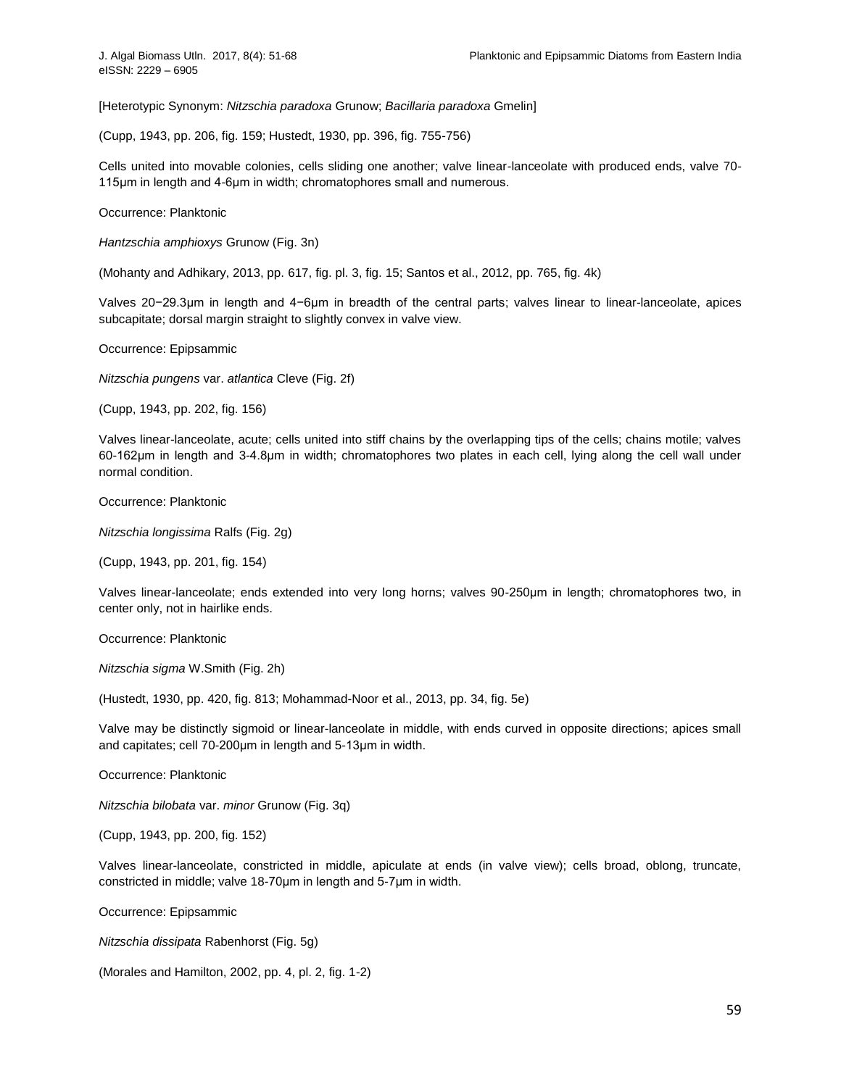[Heterotypic Synonym: *[Nitzschia paradoxa](http://www.algaebase.org/search/species/detail/?species_id=v49edc2b3ac6e3973)* Grunow; *[Bacillaria paradoxa](http://www.algaebase.org/search/species/detail/?species_id=t91d3e2d9abf1ee69)* Gmelin]

(Cupp, 1943, pp. 206, fig. 159; Hustedt, 1930, pp. 396, fig. 755-756)

Cells united into movable colonies, cells sliding one another; valve linear-lanceolate with produced ends, valve 70- 115μm in length and 4-6μm in width; chromatophores small and numerous.

Occurrence: Planktonic

*[Hantzschia](http://www.algaebase.org/search/?genus=Hantzschia) amphioxys* Grunow (Fig. 3n)

(Mohanty and Adhikary, 2013, pp. 617, fig. pl. 3, fig. 15; Santos et al., 2012, pp. 765, fig. 4k)

Valves 20−29.3μm in length and 4−6μm in breadth of the central parts; valves linear to linear-lanceolate, apices subcapitate; dorsal margin straight to slightly convex in valve view.

Occurrence: Epipsammic

*[Nitzschia](http://www.algaebase.org/search/?genus=Nitzschia) pungens* var. *atlantica* Cleve (Fig. 2f)

(Cupp, 1943, pp. 202, fig. 156)

Valves linear-lanceolate, acute; cells united into stiff chains by the overlapping tips of the cells; chains motile; valves 60-162μm in length and 3-4.8μm in width; chromatophores two plates in each cell, lying along the cell wall under normal condition.

Occurrence: Planktonic

*[Nitzschia](http://www.algaebase.org/search/?genus=Nitzschia) longissima* Ralfs (Fig. 2g)

(Cupp, 1943, pp. 201, fig. 154)

Valves linear-lanceolate; ends extended into very long horns; valves 90-250μm in length; chromatophores two, in center only, not in hairlike ends.

Occurrence: Planktonic

*[Nitzschia](http://www.algaebase.org/search/?genus=Nitzschia) sigma* W.Smith (Fig. 2h)

(Hustedt, 1930, pp. 420, fig. 813; Mohammad-Noor et al., 2013, pp. 34, fig. 5e)

Valve may be distinctly sigmoid or linear-lanceolate in middle, with ends curved in opposite directions; apices small and capitates; cell 70-200μm in length and 5-13μm in width.

Occurrence: Planktonic

*[Nitzschia](http://www.algaebase.org/search/?genus=Nitzschia) bilobata* var. *minor* Grunow (Fig. 3q)

(Cupp, 1943, pp. 200, fig. 152)

Valves linear-lanceolate, constricted in middle, apiculate at ends (in valve view); cells broad, oblong, truncate, constricted in middle; valve 18-70μm in length and 5-7μm in width.

Occurrence: Epipsammic

*[Nitzschia](http://www.algaebase.org/search/?genus=Nitzschia) dissipata* Rabenhorst (Fig. 5g)

(Morales and Hamilton, 2002, pp. 4, pl. 2, fig. 1-2)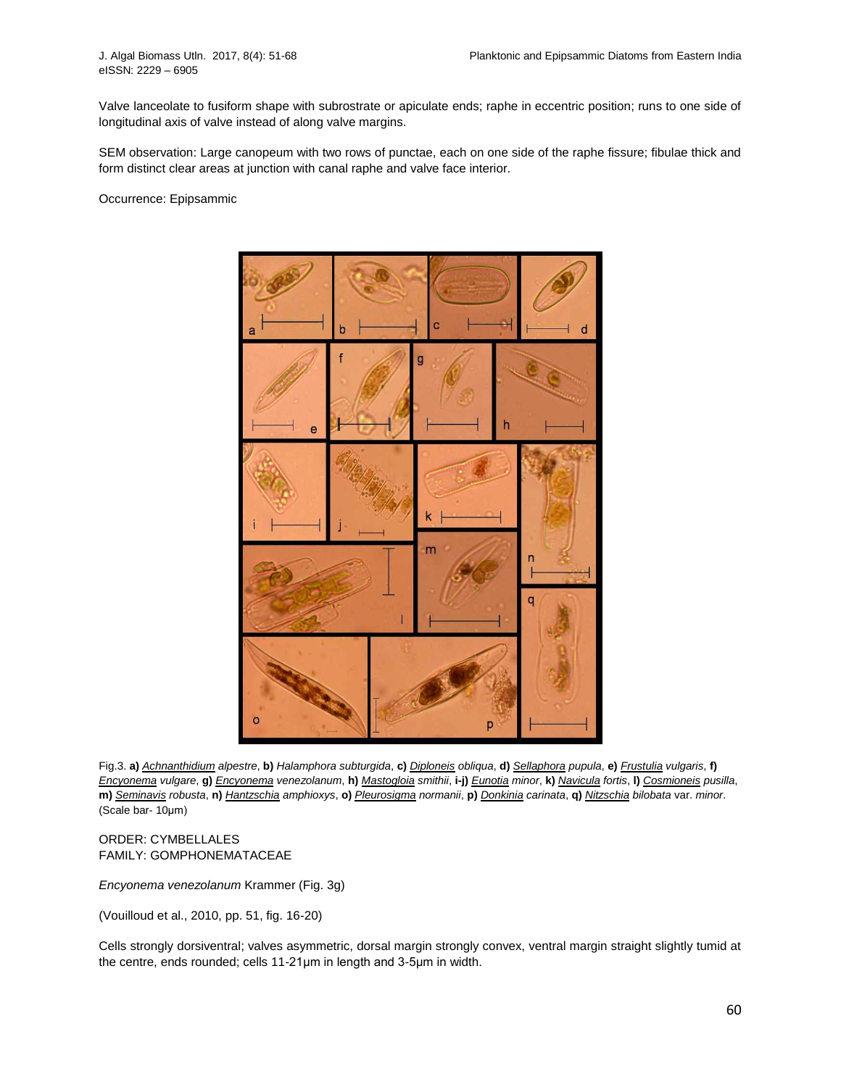Valve lanceolate to fusiform shape with subrostrate or apiculate ends; raphe in eccentric position; runs to one side of longitudinal axis of valve instead of along valve margins.

SEM observation: Large canopeum with two rows of punctae, each on one side of the raphe fissure; fibulae thick and form distinct clear areas at junction with canal raphe and valve face interior.

Occurrence: Epipsammic



Fig.3. a) [Achnanthidium](http://www.algaebase.org/search/?genus=Achnanthidium) alpestre, b) Halamphora subturgida, c) [Diploneis](http://www.algaebase.org/search/?genus=Diploneis) obliqua, d) [Sellaphora](http://www.algaebase.org/search/?genus=Sellaphora) pupula, e) [Frustulia](http://www.algaebase.org/search/?genus=Frustulia) vulgaris, f) [Encyonema](http://www.algaebase.org/search/?genus=Encyonema) vulgare, g) Encyonema venezolanum, h) [Mastogloia](http://www.algaebase.org/search/?genus=Mastogloia) smithii, i-j) [Eunotia](http://www.algaebase.org/search/?genus=Eunotia) minor, k) [Navicula](http://www.algaebase.org/search/?genus=Navicula) fortis, I) [Cosmioneis](http://www.algaebase.org/search/?genus=Cosmioneis) pusilla, m) [Seminavis](http://www.algaebase.org/search/?genus=Seminavis) robusta, n) [Hantzschia](http://www.algaebase.org/search/?genus=Hantzschia) amphioxys, o) [Pleurosigma](http://www.algaebase.org/search/?genus=Pleurosigma) normanii, p) [Donkinia](http://www.algaebase.org/search/?genus=Donkinia) carinata, q) [Nitzschia](http://www.algaebase.org/search/?genus=Nitzschia) bilobata var. minor. (Scale bar- 10μm)

ORDER: [CYMBELLALES](http://www.algaebase.org/browse/taxonomy/?id=77853) FAMILY: [GOMPHONEMATACEAE](http://www.algaebase.org/browse/taxonomy/?id=77915)

*[Encyonema](http://www.algaebase.org/search/?genus=Encyonema) venezolanum* Krammer (Fig. 3g)

(Vouilloud et al., 2010, pp. 51, fig. 16-20)

Cells strongly dorsiventral; valves asymmetric, dorsal margin strongly convex, ventral margin straight slightly tumid at the centre, ends rounded; cells 11-21μm in length and 3-5μm in width.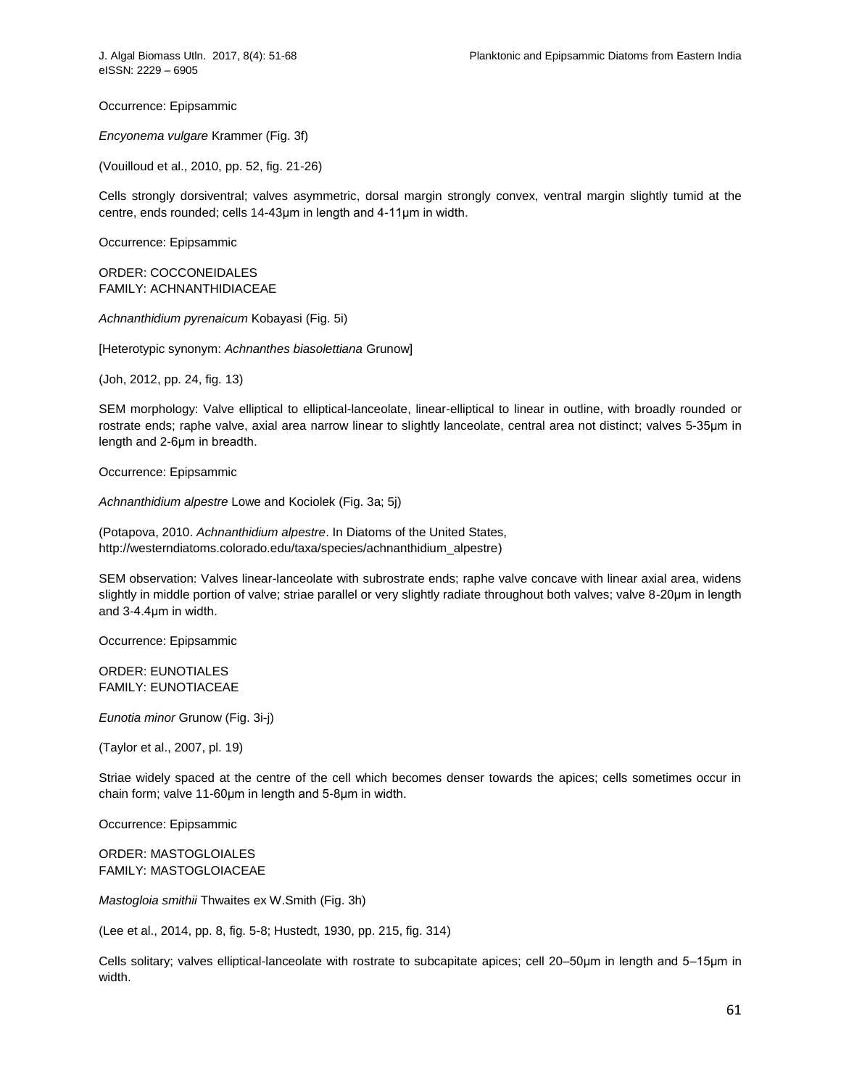Occurrence: Epipsammic

*[Encyonema](http://www.algaebase.org/search/?genus=Encyonema) vulgare* Krammer (Fig. 3f)

(Vouilloud et al., 2010, pp. 52, fig. 21-26)

Cells strongly dorsiventral; valves asymmetric, dorsal margin strongly convex, ventral margin slightly tumid at the centre, ends rounded; cells 14-43μm in length and 4-11μm in width.

Occurrence: Epipsammic

ORDER: [COCCONEIDALES](http://www.algaebase.org/browse/taxonomy/?id=139129) FAMILY: [ACHNANTHIDIACEAE](http://www.algaebase.org/browse/taxonomy/?id=77642)

*[Achnanthidium](http://www.algaebase.org/search/?genus=Achnanthidium) pyrenaicum* Kobayasi (Fig. 5i)

[Heterotypic synonym: *[Achnanthes biasolettiana](http://www.algaebase.org/search/species/detail/?species_id=p4deb45b01a501cb0)* Grunow]

(Joh, 2012, pp. 24, fig. 13)

SEM morphology: Valve elliptical to elliptical-lanceolate, linear-elliptical to linear in outline, with broadly rounded or rostrate ends; raphe valve, axial area narrow linear to slightly lanceolate, central area not distinct; valves 5-35μm in length and 2-6μm in breadth.

Occurrence: Epipsammic

*[Achnanthidium](http://www.algaebase.org/search/?genus=Achnanthidium) alpestre* Lowe and Kociolek (Fig. 3a; 5j)

(Potapova, 2010. *Achnanthidium alpestre*. In Diatoms of the United States, [http://westerndiatoms.colorado.edu/taxa/species/achnanthidium\\_alpestre\)](http://westerndiatoms.colorado.edu/taxa/species/achnanthidium_alpestre)

SEM observation: Valves linear-lanceolate with subrostrate ends; raphe valve concave with linear axial area, widens slightly in middle portion of valve; striae parallel or very slightly radiate throughout both valves; valve 8-20μm in length and 3-4.4μm in width.

Occurrence: Epipsammic

ORDER: [EUNOTIALES](http://www.algaebase.org/browse/taxonomy/?id=4492) FAMILY: [EUNOTIACEAE](http://www.algaebase.org/browse/taxonomy/?id=77631)

*[Eunotia](http://www.algaebase.org/search/?genus=Eunotia) minor* Grunow (Fig. 3i-j)

(Taylor et al., 2007, pl. 19)

Striae widely spaced at the centre of the cell which becomes denser towards the apices; cells sometimes occur in chain form; valve 11-60μm in length and 5-8μm in width.

Occurrence: Epipsammic

ORDER: [MASTOGLOIALES](http://www.algaebase.org/browse/taxonomy/?id=77861) FAMILY: [MASTOGLOIACEAE](http://www.algaebase.org/browse/taxonomy/?id=77904)

*[Mastogloia](http://www.algaebase.org/search/?genus=Mastogloia) smithii* Thwaites ex W.Smith (Fig. 3h)

(Lee et al., 2014, pp. 8, fig. 5-8; Hustedt, 1930, pp. 215, fig. 314)

Cells solitary; valves elliptical-lanceolate with rostrate to subcapitate apices; cell 20–50μm in length and 5–15μm in width.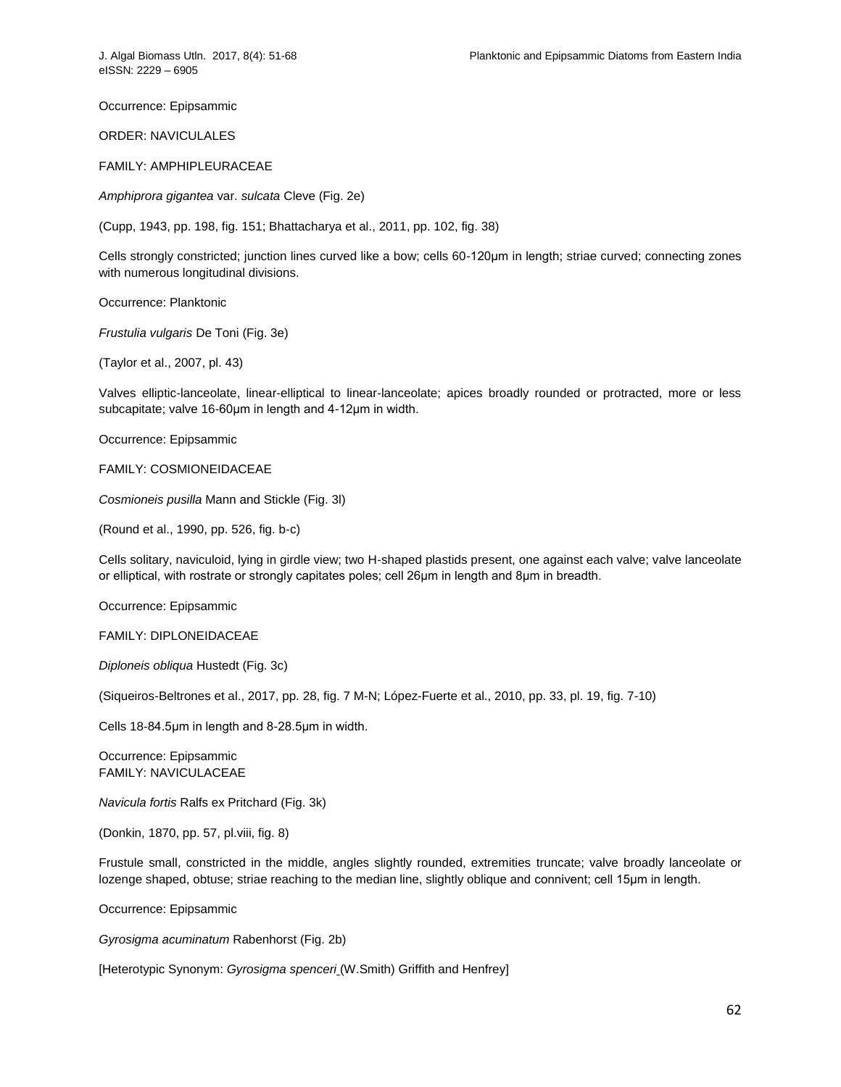Occurrence: Epipsammic

ORDER: [NAVICULALES](http://www.algaebase.org/browse/taxonomy/?id=4490)

FAMILY: [AMPHIPLEURACEAE](http://www.algaebase.org/browse/taxonomy/?id=77641)

*[Amphiprora](http://www.algaebase.org/search/?genus=Amphiprora) gigantea* var. *sulcata* Cleve (Fig. 2e)

(Cupp, 1943, pp. 198, fig. 151; Bhattacharya et al., 2011, pp. 102, fig. 38)

Cells strongly constricted; junction lines curved like a bow; cells 60-120μm in length; striae curved; connecting zones with numerous longitudinal divisions.

Occurrence: Planktonic

*[Frustulia](http://www.algaebase.org/search/?genus=Frustulia) vulgaris* De Toni (Fig. 3e)

(Taylor et al., 2007, pl. 43)

Valves elliptic-lanceolate, linear-elliptical to linear-lanceolate; apices broadly rounded or protracted, more or less subcapitate; valve 16-60μm in length and 4-12μm in width.

Occurrence: Epipsammic

FAMILY: [COSMIONEIDACEAE](http://www.algaebase.org/browse/taxonomy/?id=77634)

*[Cosmioneis](http://www.algaebase.org/search/?genus=Cosmioneis) pusilla* Mann and Stickle (Fig. 3l)

(Round et al., 1990, pp. 526, fig. b-c)

Cells solitary, naviculoid, lying in girdle view; two H-shaped plastids present, one against each valve; valve lanceolate or elliptical, with rostrate or strongly capitates poles; cell 26μm in length and 8μm in breadth.

Occurrence: Epipsammic

FAMILY: [DIPLONEIDACEAE](http://www.algaebase.org/browse/taxonomy/?id=77632)

*[Diploneis](http://www.algaebase.org/search/?genus=Diploneis) obliqua* Hustedt (Fig. 3c)

(Siqueiros-Beltrones et al., 2017, pp. 28, fig. 7 M-N; López-Fuerte et al., 2010, pp. 33, pl. 19, fig. 7-10)

Cells 18-84.5μm in length and 8-28.5μm in width.

Occurrence: Epipsammic FAMILY: [NAVICULACEAE](http://www.algaebase.org/browse/taxonomy/?id=77626)

*[Navicula](http://www.algaebase.org/search/?genus=Navicula) fortis* Ralfs ex Pritchard (Fig. 3k)

(Donkin, 1870, pp. 57, pl.viii, fig. 8)

Frustule small, constricted in the middle, angles slightly rounded, extremities truncate; valve broadly lanceolate or lozenge shaped, obtuse; striae reaching to the median line, slightly oblique and connivent; cell 15μm in length.

Occurrence: Epipsammic

*[Gyrosigma](http://www.algaebase.org/search/?genus=Gyrosigma) acuminatum* Rabenhorst (Fig. 2b)

[Heterotypic Synonym: *Gyrosigma spenceri* [\(W.Smith\) Griffith and Henfrey\]](http://www.algaebase.org/search/species/detail/?species_id=C008ebdc9a66a30a9)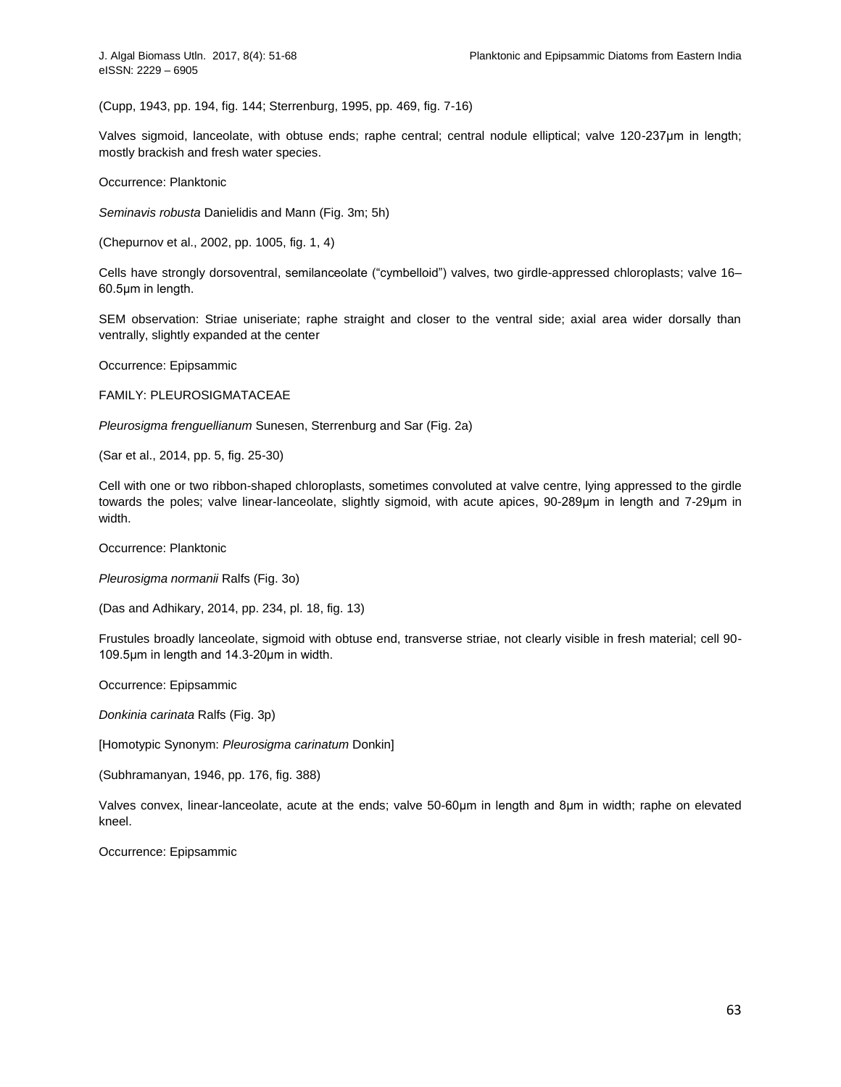(Cupp, 1943, pp. 194, fig. 144; Sterrenburg, 1995, pp. 469, fig. 7-16)

Valves sigmoid, lanceolate, with obtuse ends; raphe central; central nodule elliptical; valve 120-237μm in length; mostly brackish and fresh water species.

Occurrence: Planktonic

*[Seminavis](http://www.algaebase.org/search/?genus=Seminavis) robusta* Danielidis and Mann (Fig. 3m; 5h)

(Chepurnov et al., 2002, pp. 1005, fig. 1, 4)

Cells have strongly dorsoventral, semilanceolate ("cymbelloid") valves, two girdle-appressed chloroplasts; valve 16– 60.5μm in length.

SEM observation: Striae uniseriate; raphe straight and closer to the ventral side; axial area wider dorsally than ventrally, slightly expanded at the center

Occurrence: Epipsammic

FAMILY: [PLEUROSIGMATACEAE](http://www.algaebase.org/browse/taxonomy/?id=77618)

*[Pleurosigma](http://www.algaebase.org/search/?genus=Pleurosigma) frenguellianum* Sunesen, Sterrenburg and Sar (Fig. 2a)

(Sar et al., 2014, pp. 5, fig. 25-30)

Cell with one or two ribbon-shaped chloroplasts, sometimes convoluted at valve centre, lying appressed to the girdle towards the poles; valve linear-lanceolate, slightly sigmoid, with acute apices, 90-289μm in length and 7-29μm in width.

Occurrence: Planktonic

*[Pleurosigma](http://www.algaebase.org/search/?genus=Pleurosigma) normanii* Ralfs (Fig. 3o)

(Das and Adhikary, 2014, pp. 234, pl. 18, fig. 13)

Frustules broadly lanceolate, sigmoid with obtuse end, transverse striae, not clearly visible in fresh material; cell 90- 109.5μm in length and 14.3-20μm in width.

Occurrence: Epipsammic

*[Donkinia](http://www.algaebase.org/search/?genus=Donkinia) carinata* Ralfs (Fig. 3p)

[Homotypic Synonym: *[Pleurosigma carinatum](http://www.algaebase.org/search/species/detail/?species_id=Zdca0d1f8608b85c1)* Donkin]

(Subhramanyan, 1946, pp. 176, fig. 388)

Valves convex, linear-lanceolate, acute at the ends; valve 50-60μm in length and 8μm in width; raphe on elevated kneel.

Occurrence: Epipsammic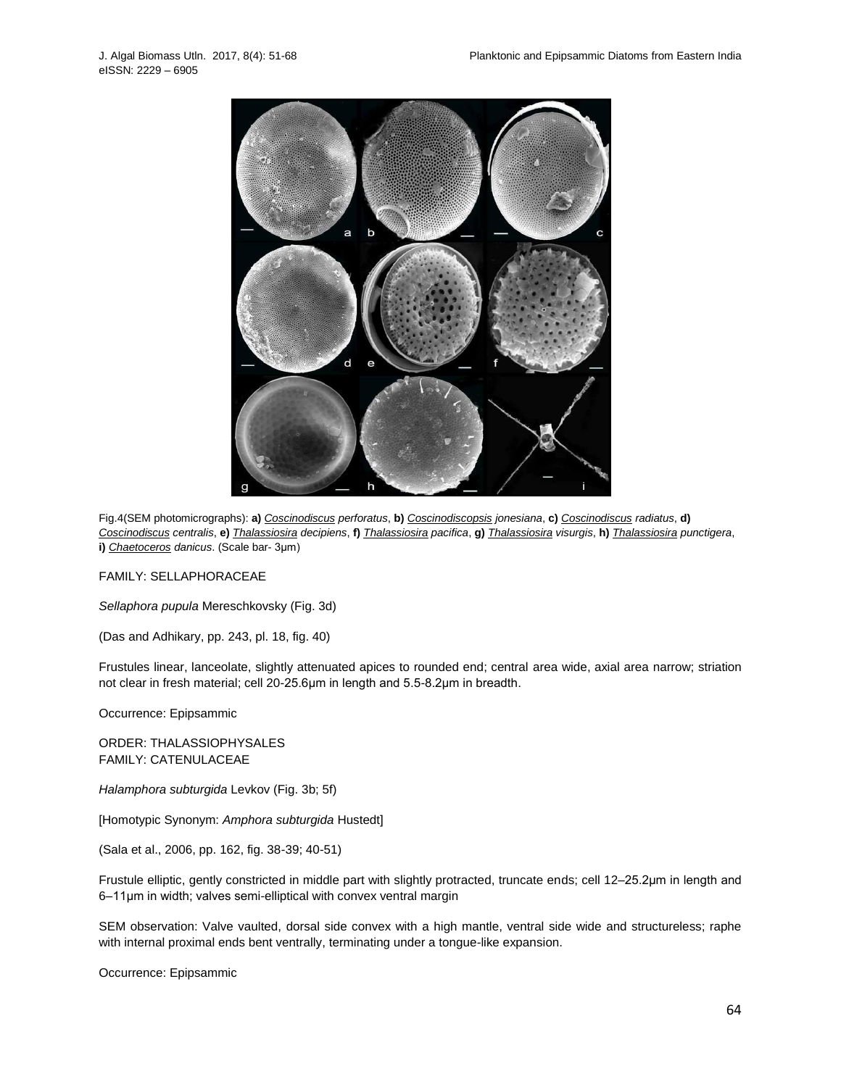

Fig.4(SEM photomicrographs): **a)** *[Coscinodiscus](http://www.algaebase.org/search/?genus=Coscinodiscus) perforatus*, **b)** *[Coscinodiscopsis](http://www.algaebase.org/search/?genus=Coscinodiscopsis) jonesiana*, **c)** *[Coscinodiscus](http://www.algaebase.org/search/?genus=Coscinodiscus) radiatus*, **d)** [Coscinodiscus](http://www.algaebase.org/search/?genus=Coscinodiscus) centralis, e) [Thalassiosira](http://www.algaebase.org/search/?genus=Thalassiosira) decipiens, f) Thalassiosira pacifica, g) Thalassiosira visurgis, h) Thalassiosira punctigera, **i)** *[Chaetoceros](http://www.algaebase.org/search/?genus=Chaetoceros) danicus*. (Scale bar- 3μm)

FAMILY: [SELLAPHORACEAE](http://www.algaebase.org/browse/taxonomy/?id=77613)

*[Sellaphora](http://www.algaebase.org/search/?genus=Sellaphora) pupula* Mereschkovsky (Fig. 3d)

(Das and Adhikary, pp. 243, pl. 18, fig. 40)

Frustules linear, lanceolate, slightly attenuated apices to rounded end; central area wide, axial area narrow; striation not clear in fresh material; cell 20-25.6μm in length and 5.5-8.2μm in breadth.

Occurrence: Epipsammic

ORDER: [THALASSIOPHYSALES](http://www.algaebase.org/browse/taxonomy/?id=77843) FAMILY: [CATENULACEAE](http://www.algaebase.org/browse/taxonomy/?id=77930)

*[Halamphora subturgida](http://www.algaebase.org/search/species/detail/?species_id=v6ada3cb081cd2c80)* Levkov (Fig. 3b; 5f)

[Homotypic Synonym: *[Amphora subturgida](http://www.algaebase.org/search/species/detail/?species_id=h4a3a6414c728e45a)* Hustedt]

(Sala et al., 2006, pp. 162, fig. 38-39; 40-51)

Frustule elliptic, gently constricted in middle part with slightly protracted, truncate ends; cell 12–25.2μm in length and 6–11μm in width; valves semi-elliptical with convex ventral margin

SEM observation: Valve vaulted, dorsal side convex with a high mantle, ventral side wide and structureless; raphe with internal proximal ends bent ventrally, terminating under a tongue-like expansion.

Occurrence: Epipsammic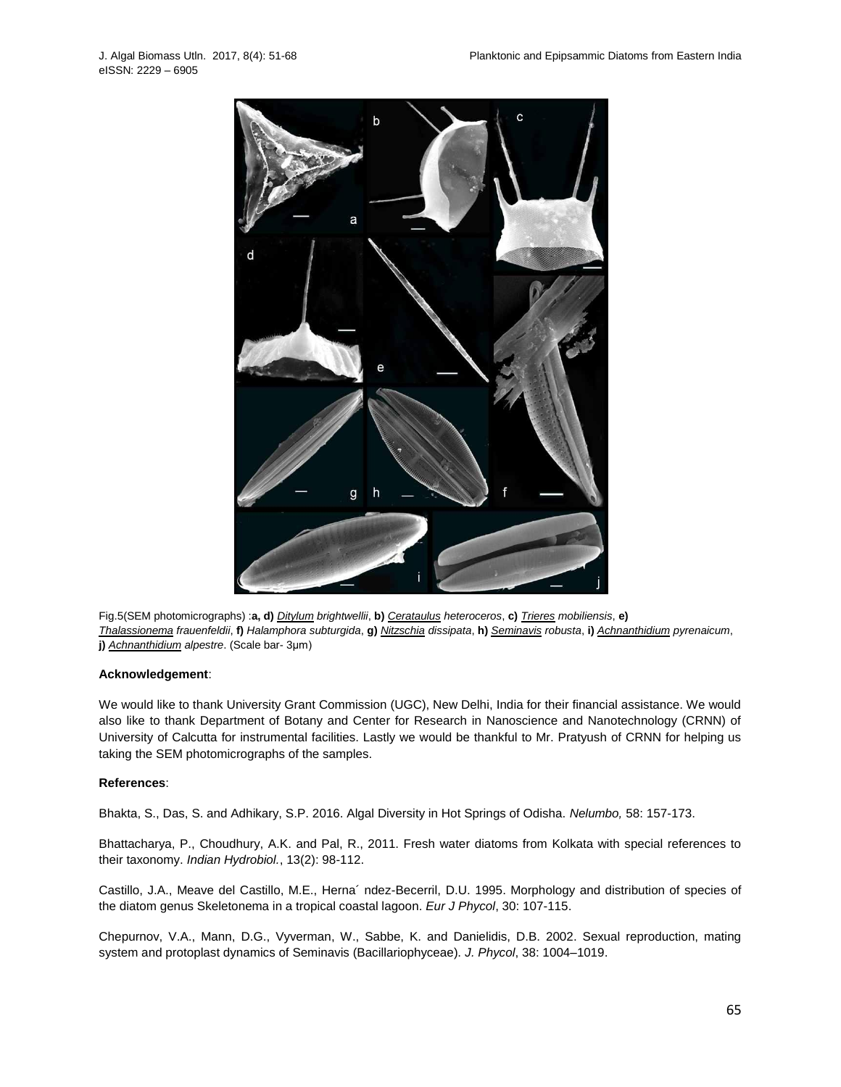

Fig.5(SEM photomicrographs) :**a, d)** *[Ditylum](http://www.algaebase.org/search/?genus=Ditylum) brightwellii*, **b)** *[Cerataulus](http://www.algaebase.org/search/?genus=Cerataulus) heteroceros*, **c)** *[Trieres](http://www.algaebase.org/search/?genus=Trieres) mobiliensis*, **e)** *[Thalassionema](http://www.algaebase.org/search/?genus=Thalassionema) frauenfeldii*, **f)** *Halamphora subturgida*, **g)** *[Nitzschia](http://www.algaebase.org/search/?genus=Nitzschia) dissipata*, **h)** *[Seminavis](http://www.algaebase.org/search/?genus=Seminavis) robusta*, **i)** *[Achnanthidium](http://www.algaebase.org/search/?genus=Achnanthidium) pyrenaicum*, **j)** *[Achnanthidium](http://www.algaebase.org/search/?genus=Achnanthidium) alpestre*. (Scale bar- 3μm)

## **Acknowledgement**:

We would like to thank University Grant Commission (UGC), New Delhi, India for their financial assistance. We would also like to thank Department of Botany and Center for Research in Nanoscience and Nanotechnology (CRNN) of University of Calcutta for instrumental facilities. Lastly we would be thankful to Mr. Pratyush of CRNN for helping us taking the SEM photomicrographs of the samples.

## **References**:

Bhakta, S., Das, S. and Adhikary, S.P. 2016. Algal Diversity in Hot Springs of Odisha. *Nelumbo,* 58: 157-173.

Bhattacharya, P., Choudhury, A.K. and Pal, R., 2011. Fresh water diatoms from Kolkata with special references to their taxonomy. *Indian Hydrobiol.*, 13(2): 98-112.

Castillo, J.A., Meave del Castillo, M.E., Herna´ ndez-Becerril, D.U. 1995. Morphology and distribution of species of the diatom genus Skeletonema in a tropical coastal lagoon. *Eur J Phycol*, 30: 107-115.

Chepurnov, V.A., Mann, D.G., Vyverman, W., Sabbe, K. and Danielidis, D.B. 2002. Sexual reproduction, mating system and protoplast dynamics of Seminavis (Bacillariophyceae). *J. Phycol*, 38: 1004–1019.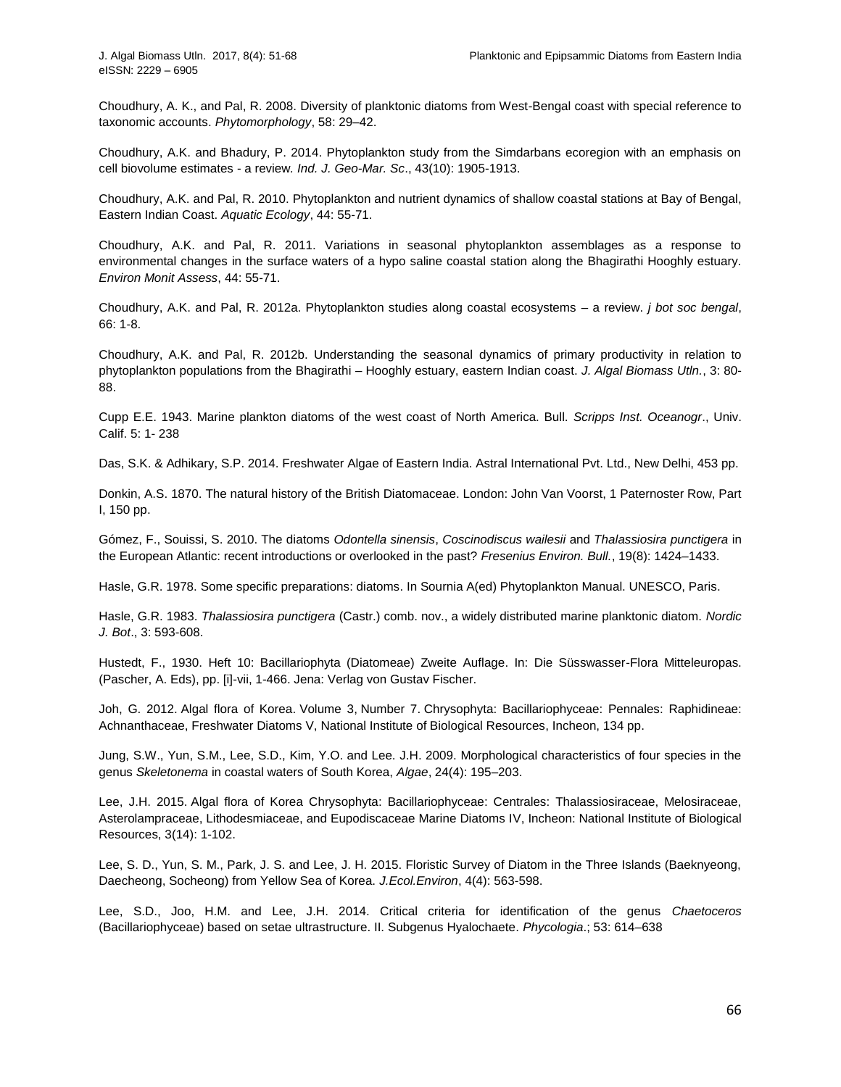Choudhury, A. K., and Pal, R. 2008. Diversity of planktonic diatoms from West-Bengal coast with special reference to taxonomic accounts. *Phytomorphology*, 58: 29–42.

Choudhury, A.K. and Bhadury, P. 2014. Phytoplankton study from the Simdarbans ecoregion with an emphasis on cell biovolume estimates - a review*. Ind. J. Geo-Mar. Sc*., 43(10): 1905-1913.

Choudhury, A.K. and Pal, R. 2010. Phytoplankton and nutrient dynamics of shallow coastal stations at Bay of Bengal, Eastern Indian Coast. *Aquatic Ecology*, 44: 55-71.

Choudhury, A.K. and Pal, R. 2011. Variations in seasonal phytoplankton assemblages as a response to environmental changes in the surface waters of a hypo saline coastal station along the Bhagirathi Hooghly estuary. *Environ Monit Assess*, 44: 55-71.

Choudhury, A.K. and Pal, R. 2012a. Phytoplankton studies along coastal ecosystems – a review. *j bot soc bengal*, 66: 1-8.

Choudhury, A.K. and Pal, R. 2012b. Understanding the seasonal dynamics of primary productivity in relation to phytoplankton populations from the Bhagirathi – Hooghly estuary, eastern Indian coast. *J. Algal Biomass Utln.*, 3: 80- 88.

Cupp E.E. 1943. Marine plankton diatoms of the west coast of North America. Bull. *Scripps Inst. Oceanogr*., Univ. Calif. 5: 1- 238

Das, S.K. & Adhikary, S.P. 2014. Freshwater Algae of Eastern India. Astral International Pvt. Ltd., New Delhi, 453 pp.

Donkin, A.S. 1870. The natural history of the British Diatomaceae. London: John Van Voorst, 1 Paternoster Row, Part I, 150 pp.

Gómez, F., Souissi, S. 2010. The diatoms *Odontella sinensis*, *Coscinodiscus wailesii* and *Thalassiosira punctigera* in the European Atlantic: recent introductions or overlooked in the past? *Fresenius Environ. Bull.*, 19(8): 1424–1433.

Hasle, G.R. 1978. Some specific preparations: diatoms. In Sournia A(ed) Phytoplankton Manual. UNESCO, Paris.

Hasle, G.R. 1983. *Thalassiosira punctigera* (Castr.) comb. nov., a widely distributed marine planktonic diatom. *Nordic J. Bot*., 3: 593-608.

Hustedt, F., 1930. Heft 10: Bacillariophyta (Diatomeae) Zweite Auflage. In: Die Süsswasser-Flora Mitteleuropas. (Pascher, A. Eds), pp. [i]-vii, 1-466. Jena: Verlag von Gustav Fischer.

Joh, G. 2012. Algal flora of Korea. Volume 3, Number 7. Chrysophyta: Bacillariophyceae: Pennales: Raphidineae: Achnanthaceae, Freshwater Diatoms V, National Institute of Biological Resources, Incheon, 134 pp.

Jung, S.W., Yun, S.M., Lee, S.D., Kim, Y.O. and Lee. J.H. 2009. Morphological characteristics of four species in the genus *Skeletonema* in coastal waters of South Korea, *Algae*, 24(4): 195–203.

Lee, J.H. 2015. Algal flora of Korea Chrysophyta: Bacillariophyceae: Centrales: Thalassiosiraceae, Melosiraceae, Asterolampraceae, Lithodesmiaceae, and Eupodiscaceae Marine Diatoms IV, Incheon: National Institute of Biological Resources, 3(14): 1-102.

Lee, S. D., Yun, S. M., Park, J. S. and Lee, J. H. 2015. Floristic Survey of Diatom in the Three Islands (Baeknyeong, Daecheong, Socheong) from Yellow Sea of Korea. *J.Ecol.Environ*, 4(4): 563-598.

Lee, S.D., Joo, H.M. and Lee, J.H. 2014. Critical criteria for identification of the genus *Chaetoceros* (Bacillariophyceae) based on setae ultrastructure. II. Subgenus Hyalochaete. *Phycologia*.; 53: 614–638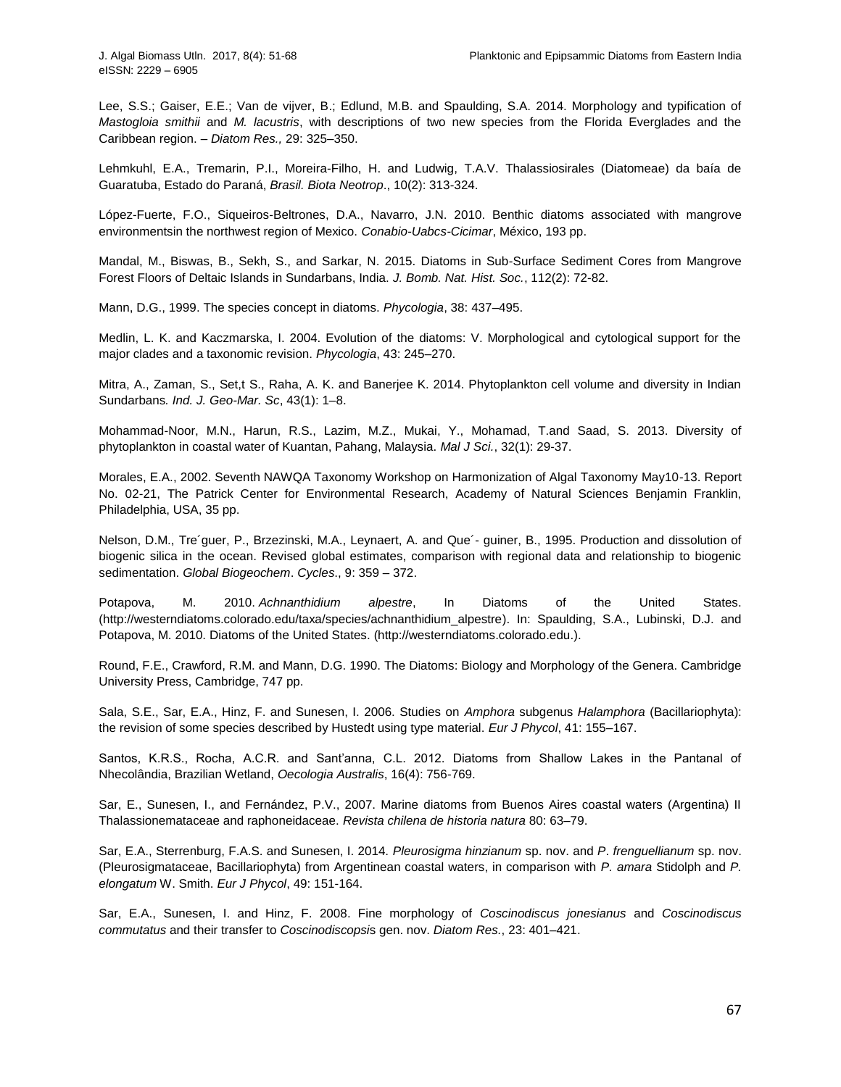Lee, S.S.; Gaiser, E.E.; Van de vijver, B.; Edlund, M.B. and Spaulding, S.A. 2014. Morphology and typification of *Mastogloia smithii* and *M. lacustris*, with descriptions of two new species from the Florida Everglades and the Caribbean region. – *Diatom Res.,* 29: 325–350.

Lehmkuhl, E.A., Tremarin, P.I., Moreira-Filho, H. and Ludwig, T.A.V. Thalassiosirales (Diatomeae) da baía de Guaratuba, Estado do Paraná, *Brasil. Biota Neotrop*., 10(2): 313-324.

López-Fuerte, F.O., Siqueiros-Beltrones, D.A., Navarro, J.N. 2010. Benthic diatoms associated with mangrove environmentsin the northwest region of Mexico. *Conabio-Uabcs-Cicimar*, México, 193 pp.

Mandal, M., Biswas, B., Sekh, S., and Sarkar, N. 2015. Diatoms in Sub-Surface Sediment Cores from Mangrove Forest Floors of Deltaic Islands in Sundarbans, India. *J. Bomb. Nat. Hist. Soc.*, 112(2): 72-82.

Mann, D.G., 1999. The species concept in diatoms. *Phycologia*, 38: 437–495.

Medlin, L. K. and Kaczmarska, I. 2004. Evolution of the diatoms: V. Morphological and cytological support for the major clades and a taxonomic revision. *Phycologia*, 43: 245–270.

Mitra, A., Zaman, S., Set,t S., Raha, A. K. and Banerjee K. 2014. Phytoplankton cell volume and diversity in Indian Sundarbans*. Ind. J. Geo-Mar. Sc*, 43(1): 1–8.

Mohammad-Noor, M.N., Harun, R.S., Lazim, M.Z., Mukai, Y., Mohamad, T.and Saad, S. 2013. Diversity of phytoplankton in coastal water of Kuantan, Pahang, Malaysia. *Mal J Sci.*, 32(1): 29-37.

Morales, E.A., 2002. Seventh NAWQA Taxonomy Workshop on Harmonization of Algal Taxonomy May10-13. Report No. 02-21, The Patrick Center for Environmental Research, Academy of Natural Sciences Benjamin Franklin, Philadelphia, USA, 35 pp.

Nelson, D.M., Tre´guer, P., Brzezinski, M.A., Leynaert, A. and Que´- guiner, B., 1995. Production and dissolution of biogenic silica in the ocean. Revised global estimates, comparison with regional data and relationship to biogenic sedimentation. *Global Biogeochem*. *Cycles*., 9: 359 – 372.

Potapova, M. 2010. *Achnanthidium alpestre*, In Diatoms of the United States. [\(http://westerndiatoms.colorado.edu/taxa/species/achnanthidium\\_alpestre\)](http://westerndiatoms.colorado.edu/taxa/species/achnanthidium_alpestre). In: Spaulding, S.A., Lubinski, D.J. and Potapova, M. 2010. Diatoms of the United States. [\(http://westerndiatoms.colorado.edu.](http://westerndiatoms.colorado.edu/)).

Round, F.E., Crawford, R.M. and Mann, D.G. 1990. The Diatoms: Biology and Morphology of the Genera. Cambridge University Press, Cambridge, 747 pp.

Sala, S.E., Sar, E.A., Hinz, F. and Sunesen, I. 2006. Studies on *Amphora* subgenus *Halamphora* (Bacillariophyta): the revision of some species described by Hustedt using type material. *Eur J Phycol*, 41: 155–167.

Santos, K.R.S., Rocha, A.C.R. and Sant'anna, C.L. 2012. Diatoms from Shallow Lakes in the Pantanal of Nhecolândia, Brazilian Wetland, *Oecologia Australis*, 16(4): 756-769.

Sar, E., Sunesen, I., and Fernández, P.V., 2007. Marine diatoms from Buenos Aires coastal waters (Argentina) II Thalassionemataceae and raphoneidaceae. *Revista chilena de historia natura* 80: 63–79.

Sar, E.A., Sterrenburg, F.A.S. and Sunesen, I. 2014. *Pleurosigma hinzianum* sp. nov. and *P*. *frenguellianum* sp. nov. (Pleurosigmataceae, Bacillariophyta) from Argentinean coastal waters, in comparison with *P. amara* Stidolph and *P. elongatum* W. Smith. *Eur J Phycol*, 49: 151-164.

Sar, E.A., Sunesen, I. and Hinz, F. 2008. Fine morphology of *Coscinodiscus jonesianus* and *Coscinodiscus commutatus* and their transfer to *Coscinodiscopsi*s gen. nov. *Diatom Res.*, 23: 401–421.